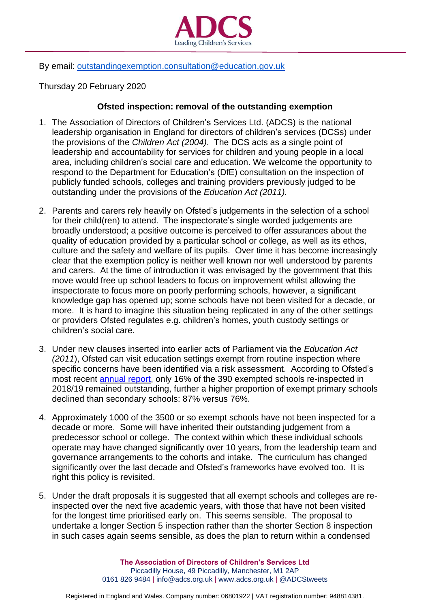

## By email: [outstandingexemption.consultation@education.gov.uk](mailto:outstandingexemption.consultation@education.gov.uk)

Thursday 20 February 2020

## **Ofsted inspection: removal of the outstanding exemption**

- 1. The Association of Directors of Children's Services Ltd. (ADCS) is the national leadership organisation in England for directors of children's services (DCSs) under the provisions of the *Children Act (2004)*. The DCS acts as a single point of leadership and accountability for services for children and young people in a local area, including children's social care and education. We welcome the opportunity to respond to the Department for Education's (DfE) consultation on the inspection of publicly funded schools, colleges and training providers previously judged to be outstanding under the provisions of the *Education Act (2011).*
- 2. Parents and carers rely heavily on Ofsted's judgements in the selection of a school for their child(ren) to attend. The inspectorate's single worded judgements are broadly understood; a positive outcome is perceived to offer assurances about the quality of education provided by a particular school or college, as well as its ethos, culture and the safety and welfare of its pupils. Over time it has become increasingly clear that the exemption policy is neither well known nor well understood by parents and carers. At the time of introduction it was envisaged by the government that this move would free up school leaders to focus on improvement whilst allowing the inspectorate to focus more on poorly performing schools, however, a significant knowledge gap has opened up; some schools have not been visited for a decade, or more. It is hard to imagine this situation being replicated in any of the other settings or providers Ofsted regulates e.g. children's homes, youth custody settings or children's social care.
- 3. Under new clauses inserted into earlier acts of Parliament via the *Education Act (2011*), Ofsted can visit education settings exempt from routine inspection where specific concerns have been identified via a risk assessment. According to Ofsted's most recent [annual](https://assets.publishing.service.gov.uk/government/uploads/system/uploads/attachment_data/file/859422/Annual_Report_of_Her_Majesty_s_Chief_Inspector_of_Education__Children_s_Services_and_Skills_201819.pdf) report, only 16% of the 390 exempted schools re-inspected in 2018/19 remained outstanding, further a higher proportion of exempt primary schools declined than secondary schools: 87% versus 76%.
- 4. Approximately 1000 of the 3500 or so exempt schools have not been inspected for a decade or more. Some will have inherited their outstanding judgement from a predecessor school or college. The context within which these individual schools operate may have changed significantly over 10 years, from the leadership team and governance arrangements to the cohorts and intake. The curriculum has changed significantly over the last decade and Ofsted's frameworks have evolved too. It is right this policy is revisited.
- 5. Under the draft proposals it is suggested that all exempt schools and colleges are reinspected over the next five academic years, with those that have not been visited for the longest time prioritised early on. This seems sensible. The proposal to undertake a longer Section 5 inspection rather than the shorter Section 8 inspection in such cases again seems sensible, as does the plan to return within a condensed